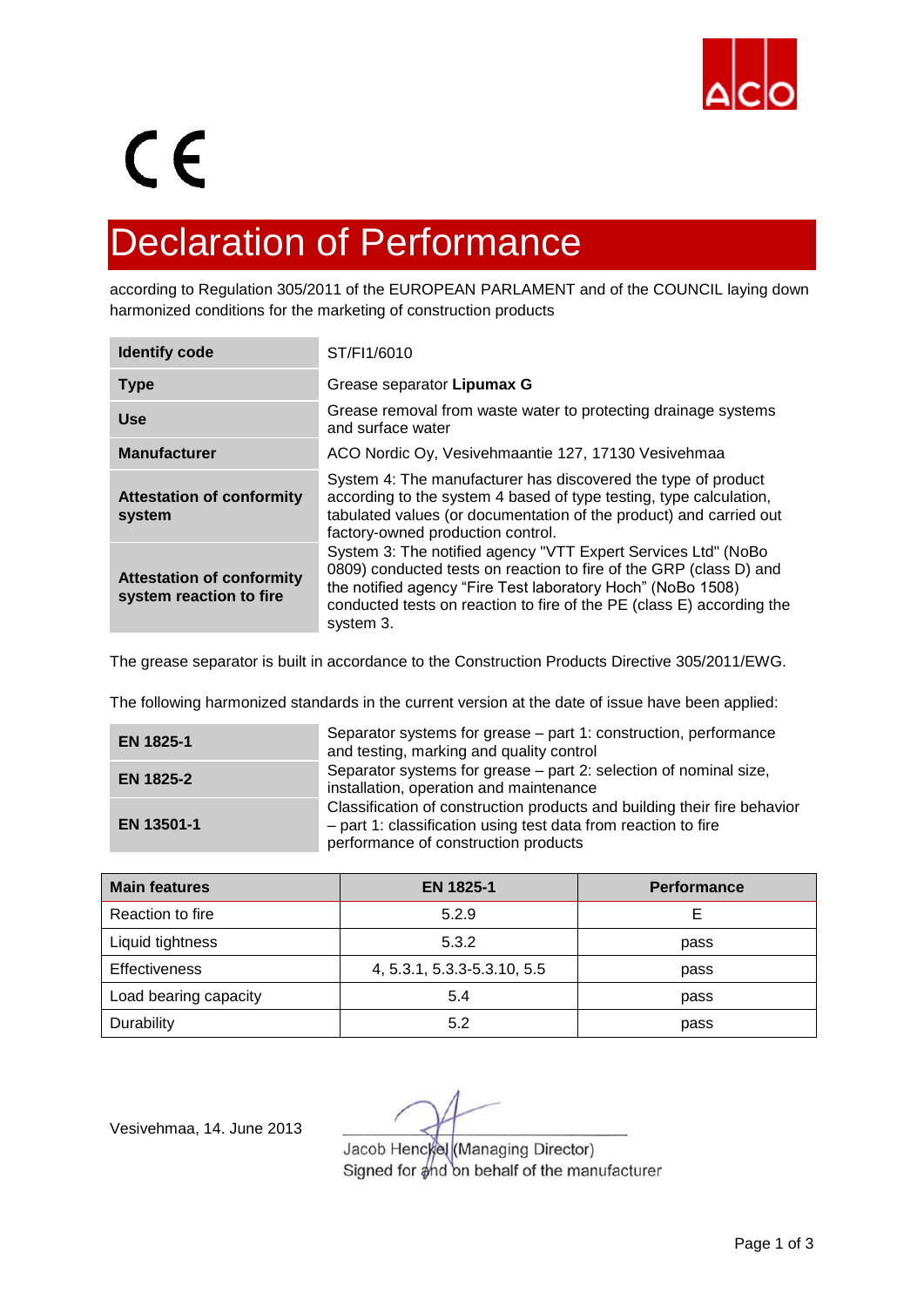

## $C \in$

## Declaration of Performance

according to Regulation 305/2011 of the EUROPEAN PARLAMENT and of the COUNCIL laying down harmonized conditions for the marketing of construction products

| <b>Identify code</b>                                        | ST/FI1/6010                                                                                                                                                                                                                                                                              |  |  |
|-------------------------------------------------------------|------------------------------------------------------------------------------------------------------------------------------------------------------------------------------------------------------------------------------------------------------------------------------------------|--|--|
| <b>Type</b>                                                 | Grease separator Lipumax G                                                                                                                                                                                                                                                               |  |  |
| <b>Use</b>                                                  | Grease removal from waste water to protecting drainage systems<br>and surface water                                                                                                                                                                                                      |  |  |
| <b>Manufacturer</b>                                         | ACO Nordic Oy, Vesivehmaantie 127, 17130 Vesivehmaa                                                                                                                                                                                                                                      |  |  |
| <b>Attestation of conformity</b><br>system                  | System 4: The manufacturer has discovered the type of product<br>according to the system 4 based of type testing, type calculation,<br>tabulated values (or documentation of the product) and carried out<br>factory-owned production control.                                           |  |  |
| <b>Attestation of conformity</b><br>system reaction to fire | System 3: The notified agency "VTT Expert Services Ltd" (NoBo<br>0809) conducted tests on reaction to fire of the GRP (class D) and<br>the notified agency "Fire Test laboratory Hoch" (NoBo 1508)<br>conducted tests on reaction to fire of the PE (class E) according the<br>system 3. |  |  |

The grease separator is built in accordance to the Construction Products Directive 305/2011/EWG.

The following harmonized standards in the current version at the date of issue have been applied:

| EN 1825-1        | Separator systems for grease – part 1: construction, performance<br>and testing, marking and quality control                                                                       |
|------------------|------------------------------------------------------------------------------------------------------------------------------------------------------------------------------------|
| <b>EN 1825-2</b> | Separator systems for grease – part 2: selection of nominal size,<br>installation, operation and maintenance                                                                       |
| EN 13501-1       | Classification of construction products and building their fire behavior<br>- part 1: classification using test data from reaction to fire<br>performance of construction products |

| <b>Main features</b>  | <b>EN 1825-1</b>            | <b>Performance</b> |  |
|-----------------------|-----------------------------|--------------------|--|
| Reaction to fire      | 5.2.9                       |                    |  |
| Liquid tightness      | 5.3.2                       | pass               |  |
| <b>Effectiveness</b>  | 4, 5.3.1, 5.3.3-5.3.10, 5.5 | pass               |  |
| Load bearing capacity | 5.4                         | pass               |  |
| Durability            | 5.2                         | pass               |  |

Vesivehmaa, 14. June 2013

Jacob Henckel (Managing Director) Signed for and on behalf of the manufacturer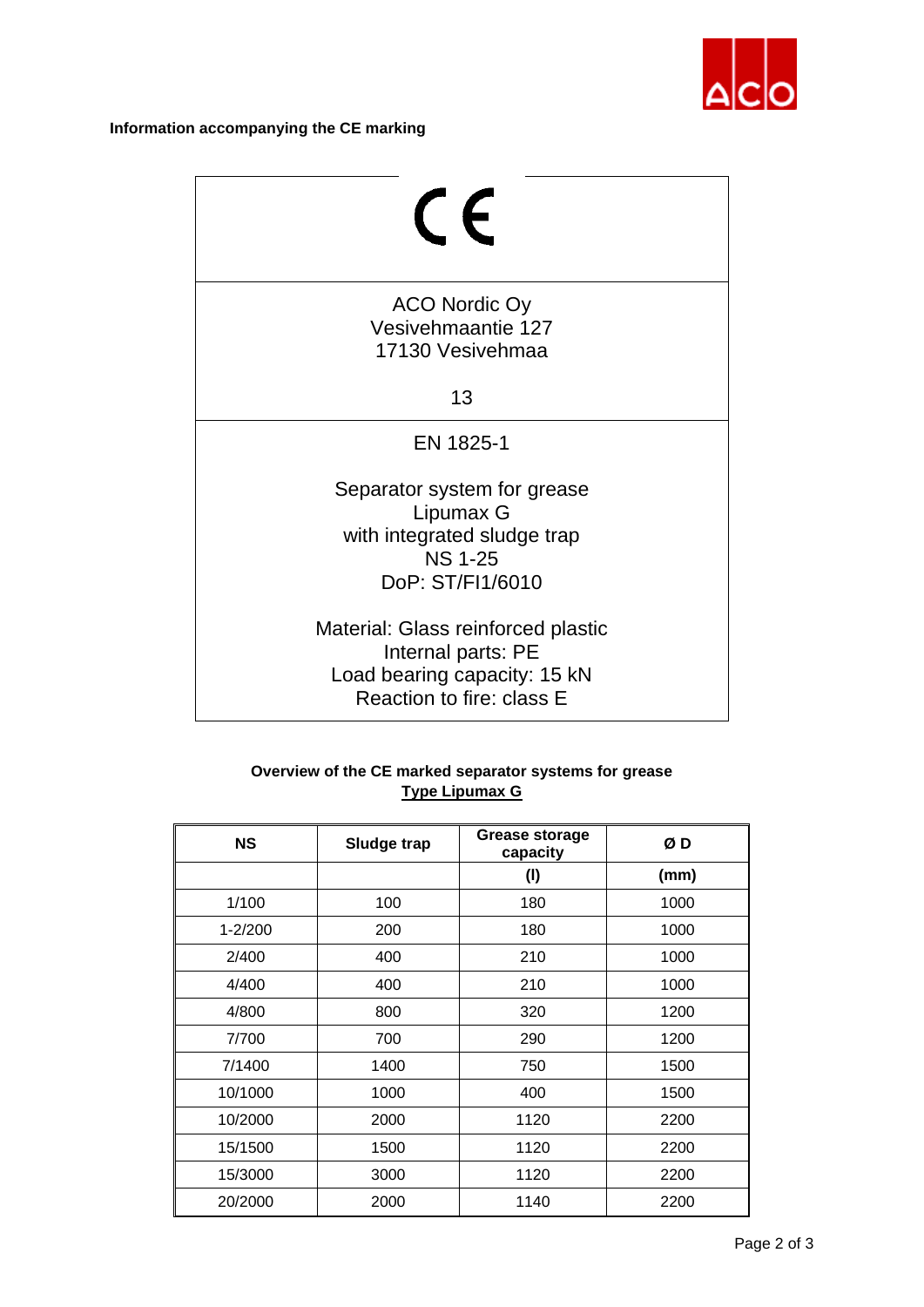

## **Information accompanying the CE marking**

| $\mathsf{C}\in$                                                                                                       |
|-----------------------------------------------------------------------------------------------------------------------|
| ACO Nordic Oy<br>Vesivehmaantie 127<br>17130 Vesivehmaa<br>13                                                         |
| EN 1825-1                                                                                                             |
| Separator system for grease<br>Lipumax G<br>with integrated sludge trap<br><b>NS 1-25</b><br>DoP: ST/FI1/6010         |
| Material: Glass reinforced plastic<br>Internal parts: PE<br>Load bearing capacity: 15 kN<br>Reaction to fire: class E |

## **Overview of the CE marked separator systems for grease Type Lipumax G**

| <b>NS</b>   | Sludge trap | Grease storage<br>capacity | ØD   |
|-------------|-------------|----------------------------|------|
|             |             | (1)                        | (mm) |
| 1/100       | 100         | 180                        | 1000 |
| $1 - 2/200$ | 200         | 180                        | 1000 |
| 2/400       | 400         | 210                        | 1000 |
| 4/400       | 400         | 210                        | 1000 |
| 4/800       | 800         | 320                        | 1200 |
| 7/700       | 700         | 290                        | 1200 |
| 7/1400      | 1400        | 750                        | 1500 |
| 10/1000     | 1000        | 400                        | 1500 |
| 10/2000     | 2000        | 1120                       | 2200 |
| 15/1500     | 1500        | 1120                       | 2200 |
| 15/3000     | 3000        | 1120                       | 2200 |
| 20/2000     | 2000        | 1140                       | 2200 |